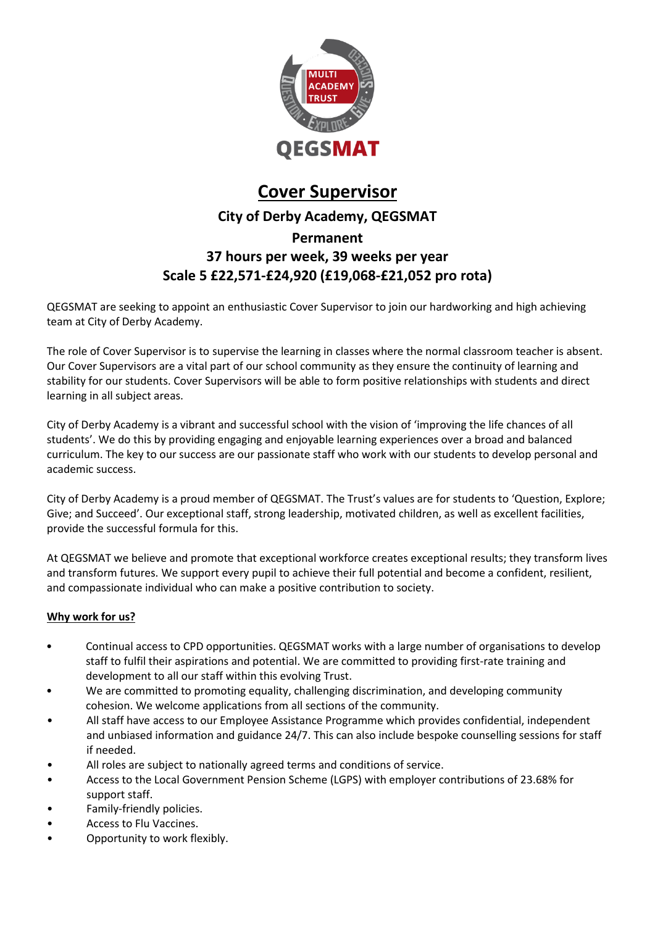

# **Cover Supervisor**

## **City of Derby Academy, QEGSMAT**

## **Permanent 37 hours per week, 39 weeks per year Scale 5 £22,571-£24,920 (£19,068-£21,052 pro rota)**

QEGSMAT are seeking to appoint an enthusiastic Cover Supervisor to join our hardworking and high achieving team at City of Derby Academy.

The role of Cover Supervisor is to supervise the learning in classes where the normal classroom teacher is absent. Our Cover Supervisors are a vital part of our school community as they ensure the continuity of learning and stability for our students. Cover Supervisors will be able to form positive relationships with students and direct learning in all subject areas.

City of Derby Academy is a vibrant and successful school with the vision of 'improving the life chances of all students'. We do this by providing engaging and enjoyable learning experiences over a broad and balanced curriculum. The key to our success are our passionate staff who work with our students to develop personal and academic success.

City of Derby Academy is a proud member of QEGSMAT. The Trust's values are for students to 'Question, Explore; Give; and Succeed'. Our exceptional staff, strong leadership, motivated children, as well as excellent facilities, provide the successful formula for this.

At QEGSMAT we believe and promote that exceptional workforce creates exceptional results; they transform lives and transform futures. We support every pupil to achieve their full potential and become a confident, resilient, and compassionate individual who can make a positive contribution to society.

### **Why work for us?**

- Continual access to CPD opportunities. QEGSMAT works with a large number of organisations to develop staff to fulfil their aspirations and potential. We are committed to providing first-rate training and development to all our staff within this evolving Trust.
- We are committed to promoting equality, challenging discrimination, and developing community cohesion. We welcome applications from all sections of the community.
- All staff have access to our Employee Assistance Programme which provides confidential, independent and unbiased information and guidance 24/7. This can also include bespoke counselling sessions for staff if needed.
- All roles are subject to nationally agreed terms and conditions of service.
- Access to the Local Government Pension Scheme (LGPS) with employer contributions of 23.68% for support staff.
- Family-friendly policies.
- Access to Flu Vaccines.
- Opportunity to work flexibly.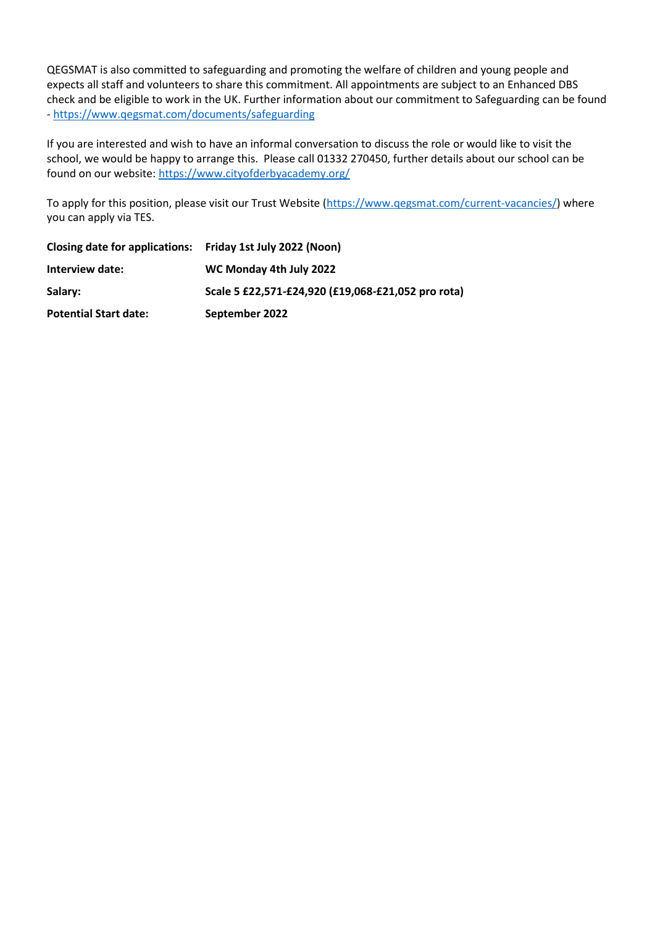QEGSMAT is also committed to safeguarding and promoting the welfare of children and young people and expects all staff and volunteers to share this commitment. All appointments are subject to an Enhanced DBS check and be eligible to work in the UK. Further information about our commitment to Safeguarding can be found - <https://www.qegsmat.com/documents/safeguarding>

If you are interested and wish to have an informal conversation to discuss the role or would like to visit the school, we would be happy to arrange this. Please call 01332 270450, further details about our school can be found on our website:<https://www.cityofderbyacademy.org/>

To apply for this position, please visit our Trust Website [\(https://www.qegsmat.com/current-vacancies/\)](https://www.qegsmat.com/current-vacancies/) where you can apply via TES.

| Closing date for applications: Friday 1st July 2022 (Noon) |                                                    |
|------------------------------------------------------------|----------------------------------------------------|
| Interview date:                                            | WC Monday 4th July 2022                            |
| Salary:                                                    | Scale 5 £22,571-£24,920 (£19,068-£21,052 pro rota) |
| <b>Potential Start date:</b>                               | September 2022                                     |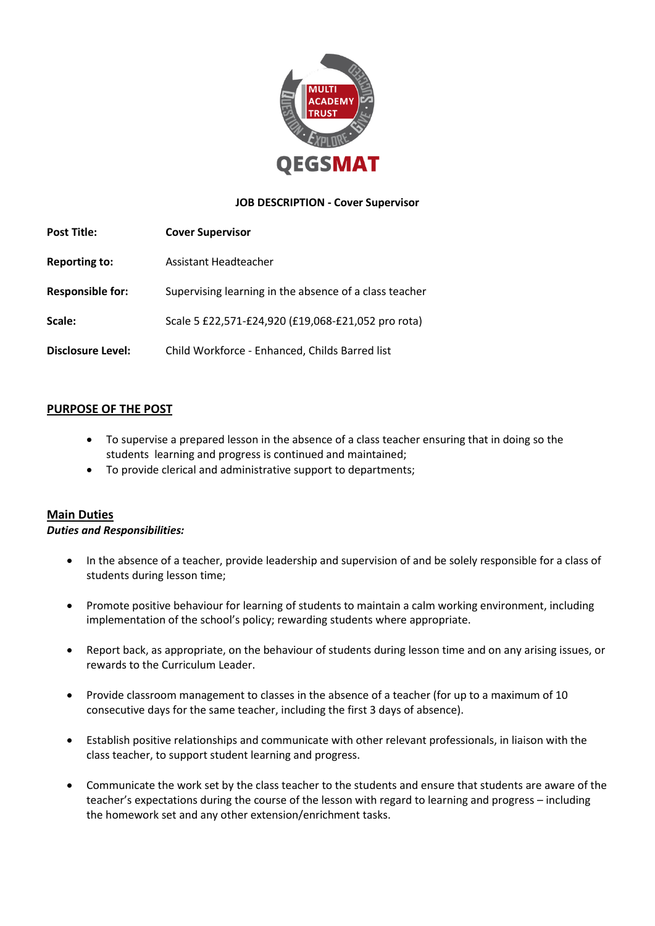

#### **JOB DESCRIPTION - Cover Supervisor**

| <b>Post Title:</b>       | <b>Cover Supervisor</b>                                |
|--------------------------|--------------------------------------------------------|
| <b>Reporting to:</b>     | Assistant Headteacher                                  |
| <b>Responsible for:</b>  | Supervising learning in the absence of a class teacher |
| Scale:                   | Scale 5 £22,571-£24,920 (£19,068-£21,052 pro rota)     |
| <b>Disclosure Level:</b> | Child Workforce - Enhanced, Childs Barred list         |

#### **PURPOSE OF THE POST**

- To supervise a prepared lesson in the absence of a class teacher ensuring that in doing so the students learning and progress is continued and maintained;
- To provide clerical and administrative support to departments;

#### **Main Duties**

#### *Duties and Responsibilities:*

- In the absence of a teacher, provide leadership and supervision of and be solely responsible for a class of students during lesson time;
- Promote positive behaviour for learning of students to maintain a calm working environment, including implementation of the school's policy; rewarding students where appropriate.
- Report back, as appropriate, on the behaviour of students during lesson time and on any arising issues, or rewards to the Curriculum Leader.
- Provide classroom management to classes in the absence of a teacher (for up to a maximum of 10 consecutive days for the same teacher, including the first 3 days of absence).
- Establish positive relationships and communicate with other relevant professionals, in liaison with the class teacher, to support student learning and progress.
- Communicate the work set by the class teacher to the students and ensure that students are aware of the teacher's expectations during the course of the lesson with regard to learning and progress – including the homework set and any other extension/enrichment tasks.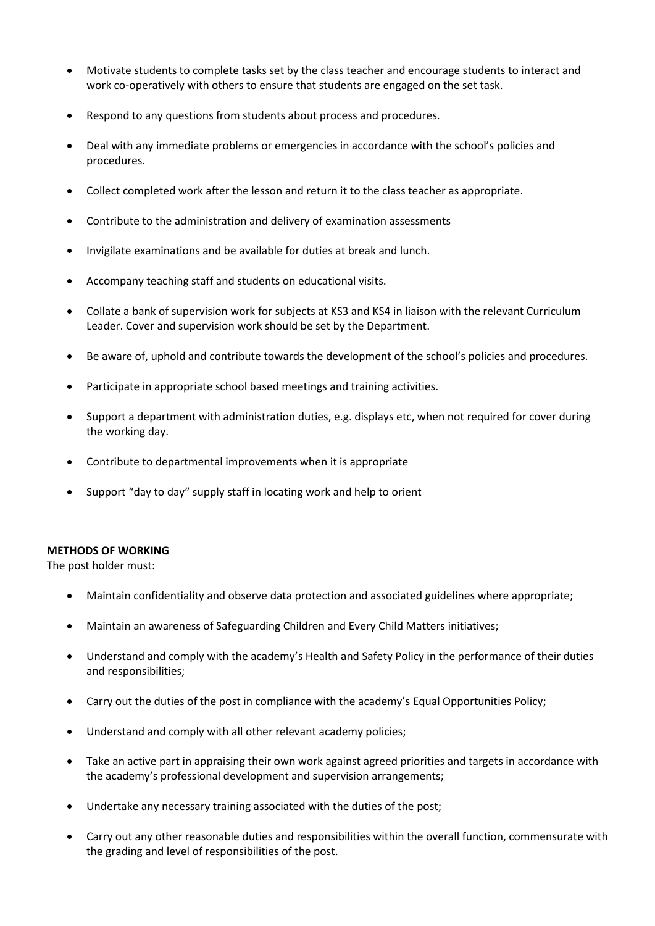- Motivate students to complete tasks set by the class teacher and encourage students to interact and work co-operatively with others to ensure that students are engaged on the set task.
- Respond to any questions from students about process and procedures.
- Deal with any immediate problems or emergencies in accordance with the school's policies and procedures.
- Collect completed work after the lesson and return it to the class teacher as appropriate.
- Contribute to the administration and delivery of examination assessments
- Invigilate examinations and be available for duties at break and lunch.
- Accompany teaching staff and students on educational visits.
- Collate a bank of supervision work for subjects at KS3 and KS4 in liaison with the relevant Curriculum Leader. Cover and supervision work should be set by the Department.
- Be aware of, uphold and contribute towards the development of the school's policies and procedures.
- Participate in appropriate school based meetings and training activities.
- Support a department with administration duties, e.g. displays etc, when not required for cover during the working day.
- Contribute to departmental improvements when it is appropriate
- Support "day to day" supply staff in locating work and help to orient

#### **METHODS OF WORKING**

The post holder must:

- Maintain confidentiality and observe data protection and associated guidelines where appropriate;
- Maintain an awareness of Safeguarding Children and Every Child Matters initiatives;
- Understand and comply with the academy's Health and Safety Policy in the performance of their duties and responsibilities;
- Carry out the duties of the post in compliance with the academy's Equal Opportunities Policy;
- Understand and comply with all other relevant academy policies;
- Take an active part in appraising their own work against agreed priorities and targets in accordance with the academy's professional development and supervision arrangements;
- Undertake any necessary training associated with the duties of the post;
- Carry out any other reasonable duties and responsibilities within the overall function, commensurate with the grading and level of responsibilities of the post.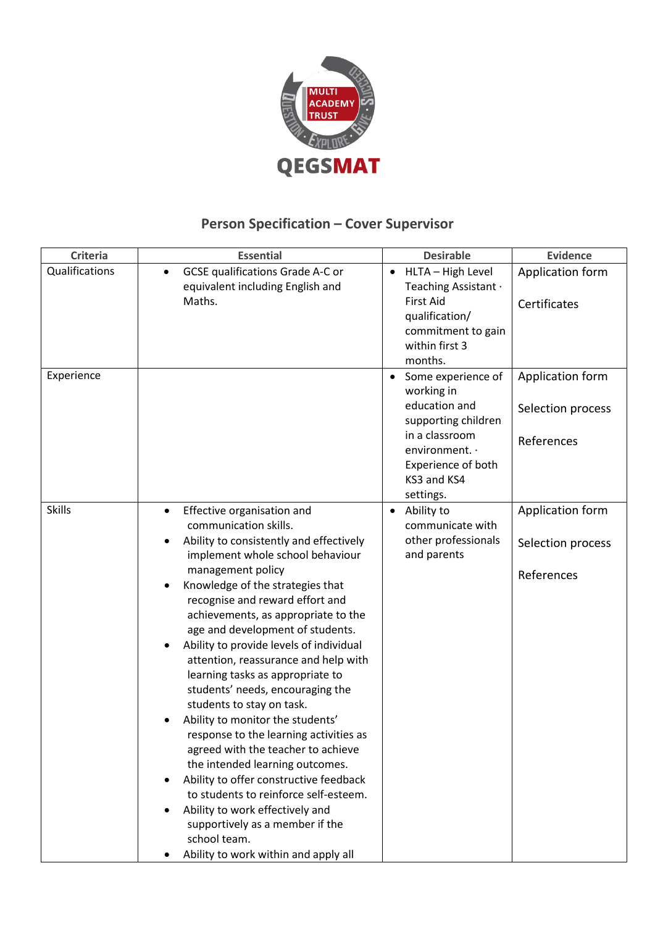

# **Person Specification – Cover Supervisor**

| <b>Criteria</b> | <b>Essential</b>                                                                                                                                                                                                                                                                                                                                                                                                                                                                                                                                                                                                                                                                                                                                                                                                                                                                            | <b>Desirable</b>                                                                                                                                                            | <b>Evidence</b>                                     |
|-----------------|---------------------------------------------------------------------------------------------------------------------------------------------------------------------------------------------------------------------------------------------------------------------------------------------------------------------------------------------------------------------------------------------------------------------------------------------------------------------------------------------------------------------------------------------------------------------------------------------------------------------------------------------------------------------------------------------------------------------------------------------------------------------------------------------------------------------------------------------------------------------------------------------|-----------------------------------------------------------------------------------------------------------------------------------------------------------------------------|-----------------------------------------------------|
| Qualifications  | <b>GCSE qualifications Grade A-C or</b><br>$\bullet$<br>equivalent including English and<br>Maths.                                                                                                                                                                                                                                                                                                                                                                                                                                                                                                                                                                                                                                                                                                                                                                                          | HLTA - High Level<br>$\bullet$<br>Teaching Assistant ·<br><b>First Aid</b><br>qualification/<br>commitment to gain<br>within first 3<br>months.                             | Application form<br>Certificates                    |
| Experience      |                                                                                                                                                                                                                                                                                                                                                                                                                                                                                                                                                                                                                                                                                                                                                                                                                                                                                             | Some experience of<br>$\bullet$<br>working in<br>education and<br>supporting children<br>in a classroom<br>environment. .<br>Experience of both<br>KS3 and KS4<br>settings. | Application form<br>Selection process<br>References |
| <b>Skills</b>   | Effective organisation and<br>$\bullet$<br>communication skills.<br>Ability to consistently and effectively<br>implement whole school behaviour<br>management policy<br>Knowledge of the strategies that<br>٠<br>recognise and reward effort and<br>achievements, as appropriate to the<br>age and development of students.<br>Ability to provide levels of individual<br>attention, reassurance and help with<br>learning tasks as appropriate to<br>students' needs, encouraging the<br>students to stay on task.<br>Ability to monitor the students'<br>response to the learning activities as<br>agreed with the teacher to achieve<br>the intended learning outcomes.<br>Ability to offer constructive feedback<br>to students to reinforce self-esteem.<br>Ability to work effectively and<br>supportively as a member if the<br>school team.<br>Ability to work within and apply all | Ability to<br>$\bullet$<br>communicate with<br>other professionals<br>and parents                                                                                           | Application form<br>Selection process<br>References |